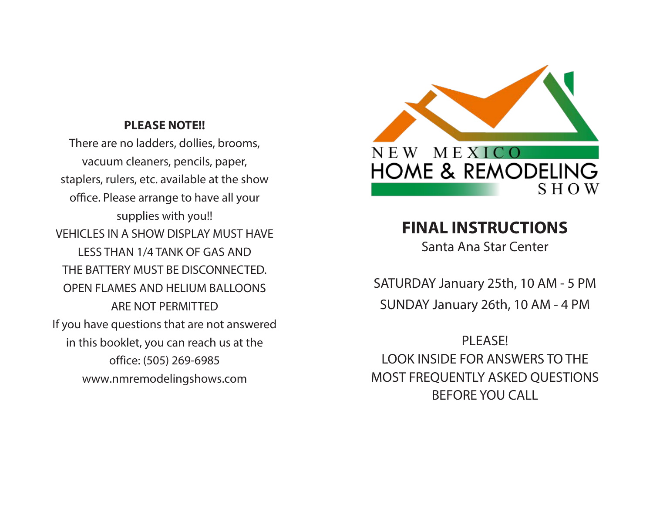#### **PLEASE NOTE!!**

There are no ladders, dollies, brooms, vacuum cleaners, pencils, paper, staplers, rulers, etc. available at the show office. Please arrange to have all your supplies with you!! VEHICLES IN A SHOW DISPLAY MUST HAVE LESS THAN 1/4 TANK OF GAS AND THE BATTERY MUST BE DISCONNECTED. OPEN FLAMES AND HELIUM BALLOONS ARE NOT PERMITTED If you have questions that are not answered in this booklet, you can reach us at the office: (505) 269-6985 www.nmremodelingshows.com



# **FINAL INSTRUCTIONS**

Santa Ana Star Center

SATURDAY January 25th, 10 AM - 5 PM SUNDAY January 26th, 10 AM - 4 PM

PI FASE! LOOK INSIDE FOR ANSWERS TO THE MOST FREQUENTLY ASKED QUESTIONS BEFORE YOU CALL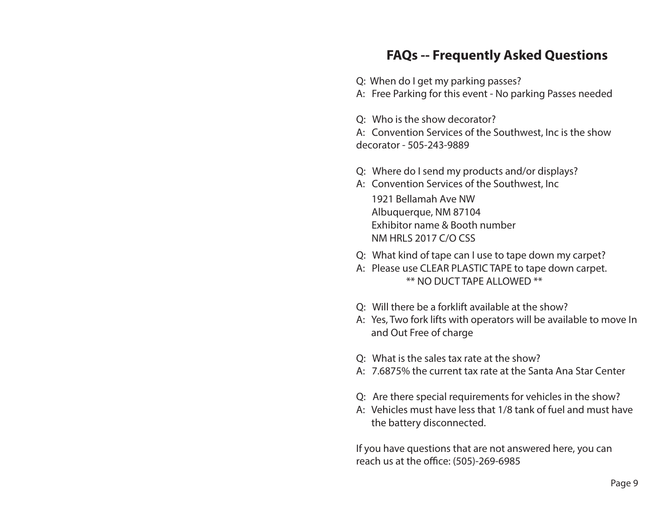# **FAQs -- Frequently Asked Questions**

Q: When do I get my parking passes?

A: Free Parking for this event - No parking Passes needed

Q: Who is the show decorator?

A: Convention Services of the Southwest, Inc is the show decorator - 505-243-9889

- Q: Where do I send my products and/or displays?
- A: Convention Services of the Southwest, Inc

1921 Bellamah Ave NW Albuquerque, NM 87104 Exhibitor name & Booth number NM HRLS 2017 C/O CSS

- Q: What kind of tape can I use to tape down my carpet?
- A: Please use CLEAR PLASTIC TAPE to tape down carpet. \*\* NO DUCT TAPE ALLOWED \*\*
- Q: Will there be a forklift available at the show?
- A: Yes, Two fork lifts with operators will be available to move In and Out Free of charge
- Q: What is the sales tax rate at the show?
- A: 7.6875% the current tax rate at the Santa Ana Star Center
- Q: Are there special requirements for vehicles in the show?
- A: Vehicles must have less that 1/8 tank of fuel and must have the battery disconnected.

If you have questions that are not answered here, you can reach us at the office: (505)-269-6985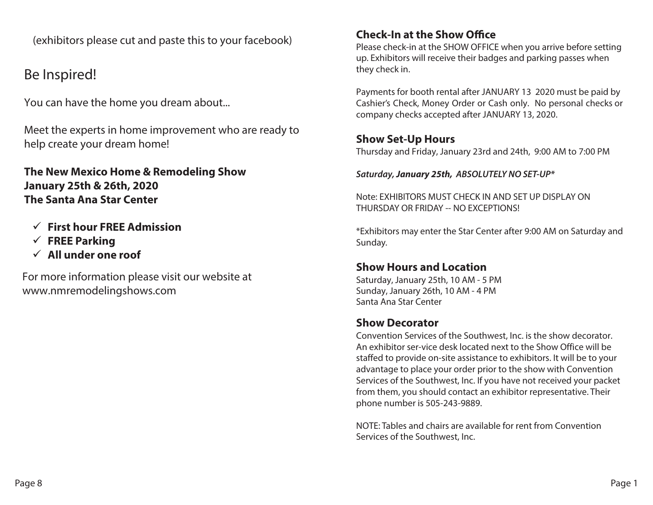(exhibitors please cut and paste this to your facebook)

# Be Inspired!

You can have the home you dream about...

Meet the experts in home improvement who are ready to help create your dream home!

**The New Mexico Home & Remodeling Show January 25th & 26th, 2020 The Santa Ana Star Center**

- **First hour FREE Admission**
- **FREE Parking**
- **All under one roof**

For more information please visit our website at www.nmremodelingshows.com

#### **Check-In at the Show Office**

Please check-in at the SHOW OFFICE when you arrive before setting up. Exhibitors will receive their badges and parking passes when they check in.

Payments for booth rental after JANUARY 13 2020 must be paid by Cashier's Check, Money Order or Cash only. No personal checks or company checks accepted after JANUARY 13, 2020.

#### **Show Set-Up Hours**

Thursday and Friday, January 23rd and 24th, 9:00 AM to 7:00 PM

*Saturday,* **January 25th,** *ABSOLUTELY NO SET-UP\**

Note: EXHIBITORS MUST CHECK IN AND SET UP DISPLAY ON THURSDAY OR FRIDAY -- NO EXCEPTIONS!

\*Exhibitors may enter the Star Center after 9:00 AM on Saturday and Sunday.

## **Show Hours and Location**

Saturday, January 25th, 10 AM - 5 PM Sunday, January 26th, 10 AM - 4 PM Santa Ana Star Center

## **Show Decorator**

Convention Services of the Southwest, Inc. is the show decorator. An exhibitor ser-vice desk located next to the Show Office will be staffed to provide on-site assistance to exhibitors. It will be to your advantage to place your order prior to the show with Convention Services of the Southwest, Inc. If you have not received your packet from them, you should contact an exhibitor representative. Their phone number is 505-243-9889.

NOTE: Tables and chairs are available for rent from Convention Services of the Southwest, Inc.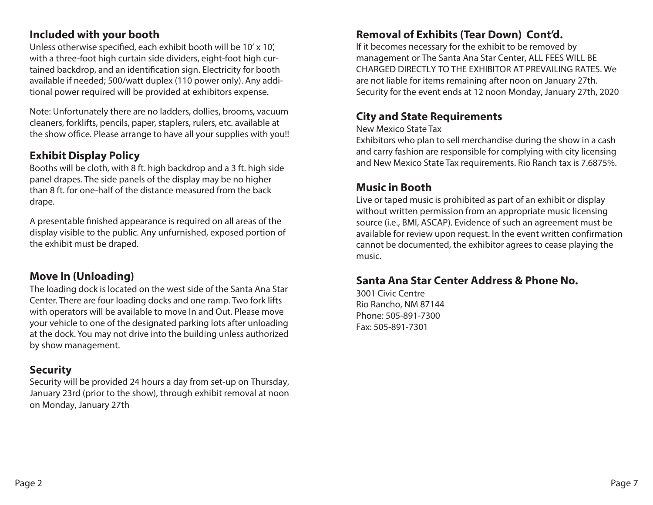#### **Included with your booth**

Unless otherwise specified, each exhibit booth will be 10' x 10', with a three-foot high curtain side dividers, eight-foot high curtained backdrop, and an identification sign. Electricity for booth available if needed; 500/watt duplex (110 power only). Any additional power required will be provided at exhibitors expense.

Note: Unfortunately there are no ladders, dollies, brooms, vacuum cleaners, forklifts, pencils, paper, staplers, rulers, etc. available at the show office. Please arrange to have all your supplies with you!!

#### **Exhibit Display Policy**

Booths will be cloth, with 8 ft. high backdrop and a 3 ft. high side panel drapes. The side panels of the display may be no higher than 8 ft. for one-half of the distance measured from the back drape.

A presentable finished appearance is required on all areas of the display visible to the public. Any unfurnished, exposed portion of the exhibit must be draped.

#### **Move In (Unloading)**

The loading dock is located on the west side of the Santa Ana Star Center. There are four loading docks and one ramp. Two fork lifts with operators will be available to move In and Out. Please move your vehicle to one of the designated parking lots after unloading at the dock. You may not drive into the building unless authorized by show management.

#### **Security**

Security will be provided 24 hours a day from set-up on Thursday, January 23rd (prior to the show), through exhibit removal at noon on Monday, January 27th

#### **Removal of Exhibits (Tear Down) Cont'd.**

If it becomes necessary for the exhibit to be removed by management or The Santa Ana Star Center, ALL FEES WILL BE CHARGED DIRECTLY TO THE EXHIBITOR AT PREVAILING RATES. We are not liable for items remaining after noon on January 27th. Security for the event ends at 12 noon Monday, January 27th, 2020

#### **City and State Requirements**

New Mexico State Tax

Exhibitors who plan to sell merchandise during the show in a cash and carry fashion are responsible for complying with city licensing and New Mexico State Tax requirements. Rio Ranch tax is 7.6875%.

#### **Music in Booth**

Live or taped music is prohibited as part of an exhibit or display without written permission from an appropriate music licensing source (i.e., BMI, ASCAP). Evidence of such an agreement must be available for review upon request. In the event written confirmation cannot be documented, the exhibitor agrees to cease playing the music.

#### **Santa Ana Star Center Address & Phone No.**

3001 Civic Centre Rio Rancho, NM 87144 Phone: 505-891-7300 Fax: 505-891-7301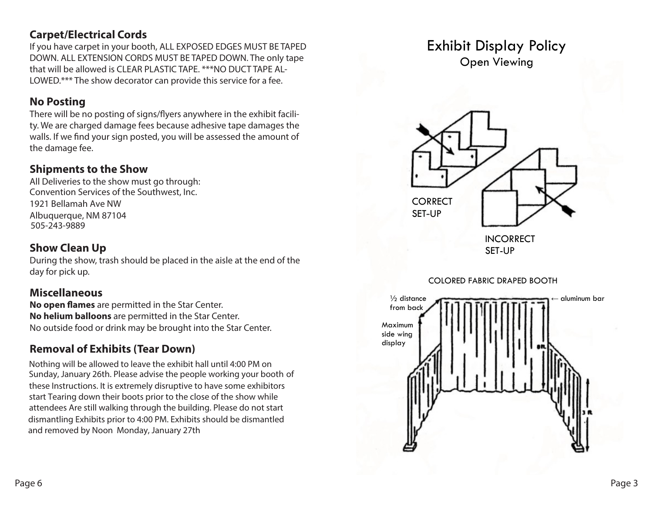#### **Carpet/Electrical Cords**

**Carpet/Literical Cords**<br>If you have carpet in your booth, ALL EXPOSED EDGES MUST BE TAPED DOWN. ALL EXTENSION CORDS MUST BE TAPED DOWN. The only tape that will be allowed is CLEAR PLASTIC TAPE. \*\*\*NO DUCT TAPE AL-LOWED.\*\*\* The show decorator can provide this service for a fee.

#### **No Posting**  $\mathbf{A}$   $\mathbf{B}$   $\mathbf{A}$   $\mathbf{B}$   $\mathbf{A}$   $\mathbf{B}$   $\mathbf{A}$   $\mathbf{B}$   $\mathbf{A}$   $\mathbf{B}$   $\mathbf{A}$   $\mathbf{B}$   $\mathbf{A}$   $\mathbf{B}$   $\mathbf{A}$   $\mathbf{B}$   $\mathbf{A}$   $\mathbf{B}$   $\mathbf{A}$   $\mathbf{B}$   $\mathbf{A}$   $\mathbf{B}$   $\mathbf{A}$   $\mathbf{B}$   $\mathbf{$

There will be no posting of signs/flyers anywhere in the exhibit facility. We are charged damage fees because adhesive tape damages the walls. If we find your sign posted, you will be assessed the amount of the damage fee.<br>The damage fee.  $\ldots$  are charged to  $\ldots$ 

#### **Shipments to the Show**

one presence to the one of the damage.<br>All Deliveries to the show must go through: Convention Services of the Southwest, Inc. 1921 Bellamah Ave NW **SHIPMENTS TO THE SHOW** Albuquerque, NM 87104 505-243-9889 **DISCO DISPLAY**

#### **Show Clean Up 3123 Central Ave NE Show Clean Up**

During the show, trash should be placed in the aisle at the end of the **505-265-1515** day for pick up.

#### **Miscellaneous SHOW CLEAN UP**

**No open flames** are permitted in the Star Center. **No belium balloons** are permitted in the Star Center. No outside food or drink may be brought into the Star Center. **REMOVAL OF EXHIBITS (TEAR DOWN)**

## **Removal of Exhibits (Tear Down)**

Nothing will be allowed to leave the exhibit hall until 4:00 PM on Sunday, January 26th. Please advise the people working your booth of these Instructions. It is extremely disruptive to have some exhibitors start Tearing down their boots prior to the close of the show while attendees Are still walking through the building. Please do not start dismantling Exhibits prior to 4:00 PM. Exhibits should be dismantled<br>and remained by Nagar, Manday, January 27th and removed by Noon Monday, January 27th

# Exhibit Display Policy Open Viewing